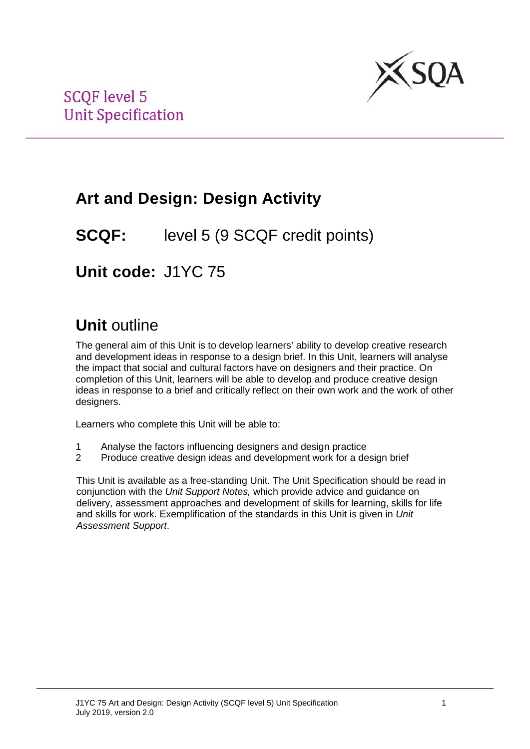

# **Art and Design: Design Activity**

## **SCQF:** level 5 (9 SCQF credit points)

**Unit code:** J1YC 75

# **Unit** outline

The general aim of this Unit is to develop learners' ability to develop creative research and development ideas in response to a design brief. In this Unit, learners will analyse the impact that social and cultural factors have on designers and their practice. On completion of this Unit, learners will be able to develop and produce creative design ideas in response to a brief and critically reflect on their own work and the work of other designers.

Learners who complete this Unit will be able to:

- 1 Analyse the factors influencing designers and design practice
- 2 Produce creative design ideas and development work for a design brief

This Unit is available as a free-standing Unit. The Unit Specification should be read in conjunction with the *Unit Support Notes,* which provide advice and guidance on delivery, assessment approaches and development of skills for learning, skills for life and skills for work. Exemplification of the standards in this Unit is given in *Unit Assessment Support*.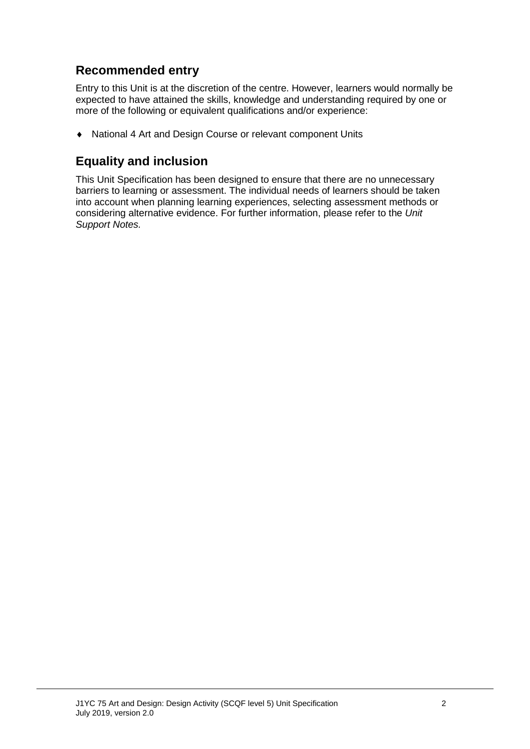## **Recommended entry**

Entry to this Unit is at the discretion of the centre. However, learners would normally be expected to have attained the skills, knowledge and understanding required by one or more of the following or equivalent qualifications and/or experience:

♦ National 4 Art and Design Course or relevant component Units

### **Equality and inclusion**

This Unit Specification has been designed to ensure that there are no unnecessary barriers to learning or assessment. The individual needs of learners should be taken into account when planning learning experiences, selecting assessment methods or considering alternative evidence. For further information, please refer to the *Unit Support Notes.*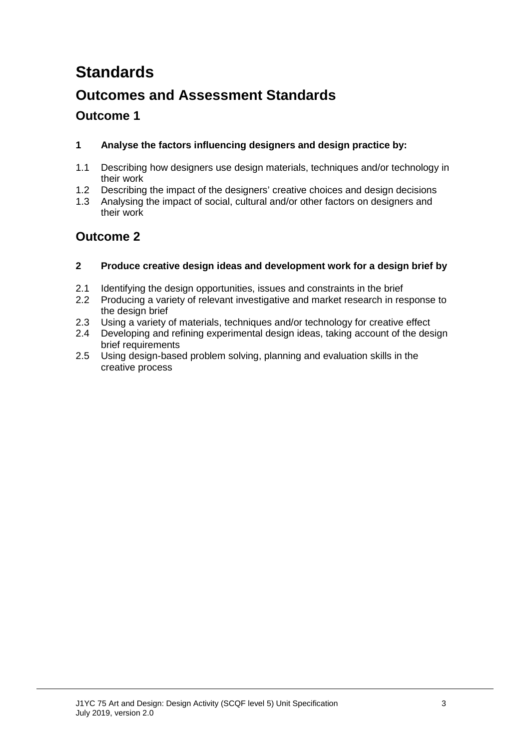# **Standards**

## **Outcomes and Assessment Standards**

### **Outcome 1**

#### **1 Analyse the factors influencing designers and design practice by:**

- 1.1 Describing how designers use design materials, techniques and/or technology in their work
- 1.2 Describing the impact of the designers' creative choices and design decisions
- 1.3 Analysing the impact of social, cultural and/or other factors on designers and their work

## **Outcome 2**

- **2 Produce creative design ideas and development work for a design brief by**
- 2.1 Identifying the design opportunities, issues and constraints in the brief
- 2.2 Producing a variety of relevant investigative and market research in response to the design brief
- 2.3 Using a variety of materials, techniques and/or technology for creative effect
- 2.4 Developing and refining experimental design ideas, taking account of the design brief requirements
- 2.5 Using design-based problem solving, planning and evaluation skills in the creative process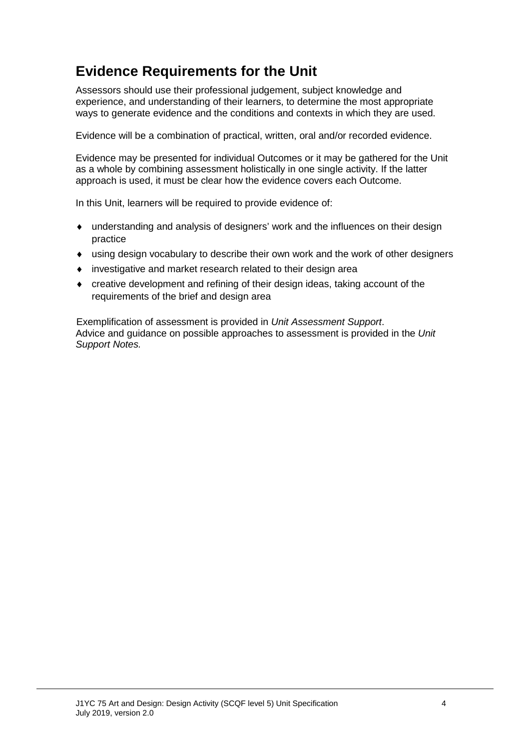## **Evidence Requirements for the Unit**

Assessors should use their professional judgement, subject knowledge and experience, and understanding of their learners, to determine the most appropriate ways to generate evidence and the conditions and contexts in which they are used.

Evidence will be a combination of practical, written, oral and/or recorded evidence.

Evidence may be presented for individual Outcomes or it may be gathered for the Unit as a whole by combining assessment holistically in one single activity. If the latter approach is used, it must be clear how the evidence covers each Outcome.

In this Unit, learners will be required to provide evidence of:

- ♦ understanding and analysis of designers' work and the influences on their design practice
- ♦ using design vocabulary to describe their own work and the work of other designers
- ♦ investigative and market research related to their design area
- ♦ creative development and refining of their design ideas, taking account of the requirements of the brief and design area

Exemplification of assessment is provided in *Unit Assessment Support*. Advice and guidance on possible approaches to assessment is provided in the *Unit Support Notes.*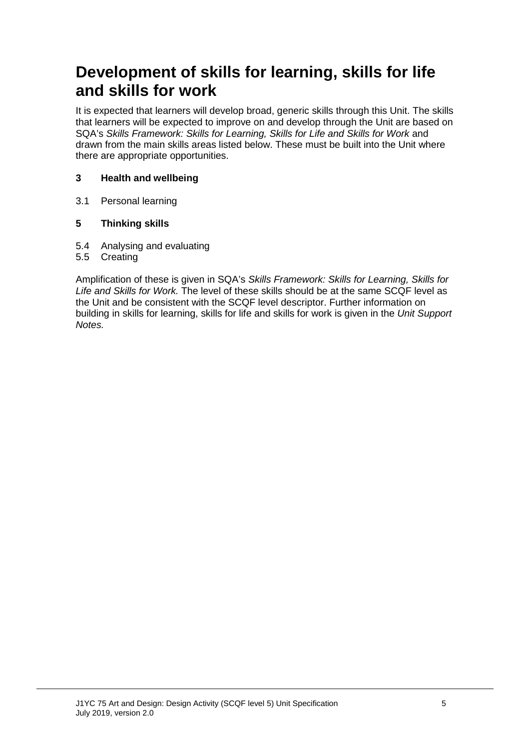# **Development of skills for learning, skills for life and skills for work**

It is expected that learners will develop broad, generic skills through this Unit. The skills that learners will be expected to improve on and develop through the Unit are based on SQA's *Skills Framework: Skills for Learning, Skills for Life and Skills for Work* and drawn from the main skills areas listed below. These must be built into the Unit where there are appropriate opportunities.

#### **3 Health and wellbeing**

3.1 Personal learning

#### **5 Thinking skills**

- 5.4 Analysing and evaluating
- 5.5 Creating

Amplification of these is given in SQA's *Skills Framework: Skills for Learning, Skills for Life and Skills for Work.* The level of these skills should be at the same SCQF level as the Unit and be consistent with the SCQF level descriptor. Further information on building in skills for learning, skills for life and skills for work is given in the *Unit Support Notes.*